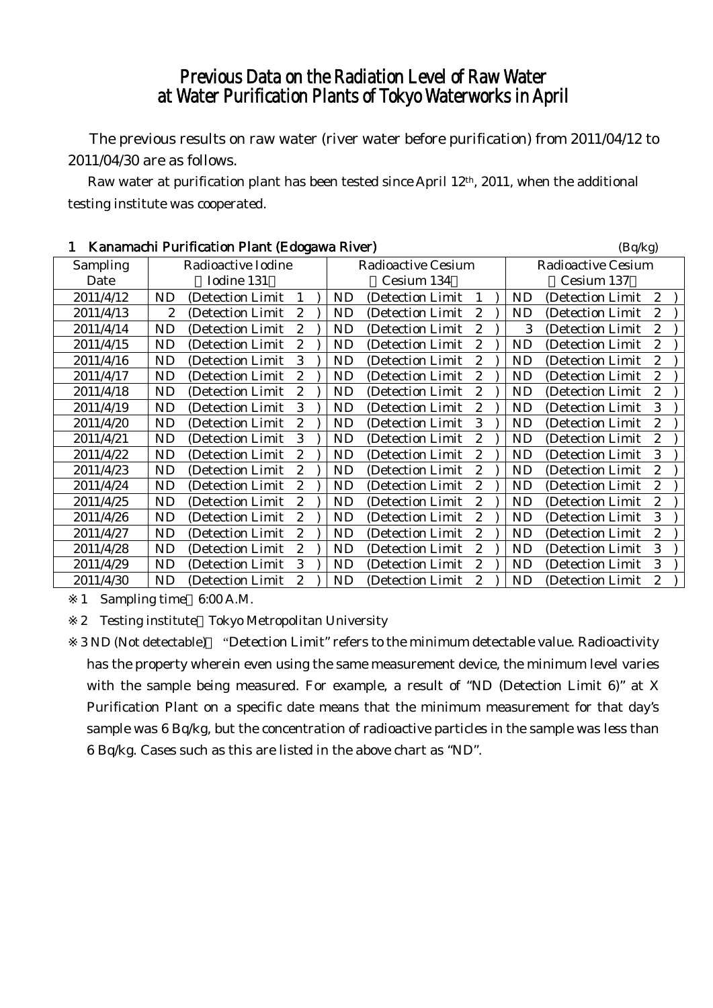## Previous Data on the Radiation Level of Raw Water at Water Purification Plants of Tokyo Waterworks in April

The previous results on raw water (river water before purification) from 2011/04/12 to 2011/04/30 are as follows.

Raw water at purification plant has been tested since April 12th, 2011, when the additional testing institute was cooperated.

| Kanamachi Purification Plant (Edogawa River) |                    |                   |                |  |                           |                   | (Bq/kg)          |                           |           |                   |                  |  |
|----------------------------------------------|--------------------|-------------------|----------------|--|---------------------------|-------------------|------------------|---------------------------|-----------|-------------------|------------------|--|
| Sampling                                     | Radioactive Iodine |                   |                |  | <b>Radioactive Cesium</b> |                   |                  | <b>Radioactive Cesium</b> |           |                   |                  |  |
| Date                                         | Iodine 131         |                   |                |  | Cesium 134                |                   |                  | Cesium 137                |           |                   |                  |  |
| 2011/4/12                                    | <b>ND</b>          | (Detection Limit) | 1              |  | <b>ND</b>                 | (Detection Limit) |                  |                           | ND        | (Detection Limit) | $\mathbf{2}$     |  |
| 2011/4/13                                    | 2                  | (Detection Limit  | 2              |  | <b>ND</b>                 | (Detection Limit  | 2                |                           | <b>ND</b> | (Detection Limit  | $\overline{c}$   |  |
| 2011/4/14                                    | <b>ND</b>          | (Detection Limit  | $\overline{c}$ |  | <b>ND</b>                 | (Detection Limit  | $\overline{c}$   |                           | 3         | (Detection Limit  | $\overline{c}$   |  |
| 2011/4/15                                    | <b>ND</b>          | (Detection Limit) | 2              |  | <b>ND</b>                 | (Detection Limit) | 2                |                           | <b>ND</b> | (Detection Limit) | $\overline{c}$   |  |
| 2011/4/16                                    | <b>ND</b>          | (Detection Limit) | 3              |  | ND                        | (Detection Limit  | 2                |                           | <b>ND</b> | (Detection Limit  | 2                |  |
| 2011/4/17                                    | <b>ND</b>          | (Detection Limit) | $\overline{c}$ |  | <b>ND</b>                 | (Detection Limit) | $\overline{c}$   |                           | <b>ND</b> | (Detection Limit  | $\overline{2}$   |  |
| 2011/4/18                                    | <b>ND</b>          | (Detection Limit) | 2              |  | <b>ND</b>                 | (Detection Limit) | 2                |                           | ND        | (Detection Limit  | $\overline{c}$   |  |
| 2011/4/19                                    | <b>ND</b>          | (Detection Limit  | 3              |  | <b>ND</b>                 | (Detection Limit  | 2                |                           | <b>ND</b> | (Detection Limit  | 3                |  |
| 2011/4/20                                    | <b>ND</b>          | (Detection Limit) | 2              |  | <b>ND</b>                 | (Detection Limit  | 3                |                           | <b>ND</b> | (Detection Limit  | $\overline{c}$   |  |
| 2011/4/21                                    | <b>ND</b>          | (Detection Limit) | 3              |  | <b>ND</b>                 | (Detection Limit) | $\overline{c}$   |                           | <b>ND</b> | (Detection Limit  | $\boldsymbol{2}$ |  |
| 2011/4/22                                    | <b>ND</b>          | (Detection Limit) | 2              |  | ND                        | (Detection Limit  | 2                |                           | <b>ND</b> | (Detection Limit  | 3                |  |
| 2011/4/23                                    | <b>ND</b>          | (Detection Limit) | 2              |  | ND                        | (Detection Limit) | 2                |                           | ND        | (Detection Limit  | 2                |  |
| 2011/4/24                                    | <b>ND</b>          | (Detection Limit) | 2              |  | <b>ND</b>                 | (Detection Limit) | 2                |                           | ND        | (Detection Limit) | $\overline{c}$   |  |
| 2011/4/25                                    | <b>ND</b>          | (Detection Limit  | $\overline{c}$ |  | <b>ND</b>                 | (Detection Limit  | $\overline{c}$   |                           | <b>ND</b> | (Detection Limit  | $\overline{c}$   |  |
| 2011/4/26                                    | <b>ND</b>          | (Detection Limit  | 2              |  | <b>ND</b>                 | (Detection Limit  | 2                |                           | <b>ND</b> | (Detection Limit) | 3                |  |
| 2011/4/27                                    | <b>ND</b>          | (Detection Limit) | $\overline{c}$ |  | <b>ND</b>                 | (Detection Limit) | $\boldsymbol{2}$ |                           | ND        | (Detection Limit) | $\boldsymbol{2}$ |  |
| 2011/4/28                                    | <b>ND</b>          | (Detection Limit  | $\overline{c}$ |  | <b>ND</b>                 | (Detection Limit  | $\overline{c}$   |                           | <b>ND</b> | (Detection Limit  | 3                |  |
| 2011/4/29                                    | <b>ND</b>          | (Detection Limit) | 3              |  | ND                        | (Detection Limit) | 2                |                           | <b>ND</b> | (Detection Limit) | 3                |  |
| 2011/4/30                                    | <b>ND</b>          | (Detection Limit) | 2              |  | ND                        | (Detection Limit  | 2                |                           | ND        | (Detection Limit) | $\overline{c}$   |  |

1 Sampling time 6:00 A.M.

2 Testing institute Tokyo Metropolitan University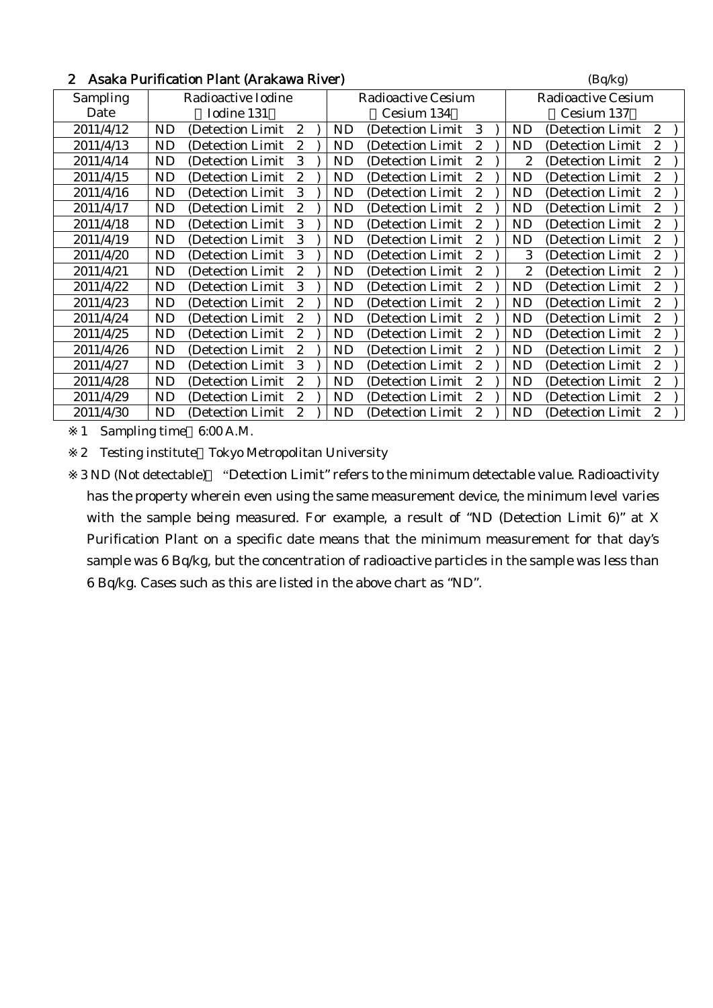| $\boldsymbol{2}$ | Asaka Purification Plant (Arakawa River) | (Bq/kg)                   |                           |  |  |
|------------------|------------------------------------------|---------------------------|---------------------------|--|--|
| Sampling         | Radioactive Iodine                       | <b>Radioactive Cesium</b> | <b>Radioactive Cesium</b> |  |  |
| Date             | Iodine 131                               | Cesium 134                | Cesium 137                |  |  |
| 2011/4/12        | <b>ND</b>                                | 3                         | <b>ND</b>                 |  |  |
|                  | $\boldsymbol{2}$                         | ND                        | (Detection Limit)         |  |  |
|                  | (Detection Limit)                        | (Detection Limit)         | 2                         |  |  |
| 2011/4/13        | <b>ND</b>                                | ND                        | 2                         |  |  |
|                  | (Detection Limit)                        | (Detection Limit)         | ND                        |  |  |
|                  | 2                                        | 2                         | (Detection Limit)         |  |  |
| 2011/4/14        | 3                                        | $\overline{c}$            | $\overline{c}$            |  |  |
|                  | <b>ND</b>                                | ND                        | 2                         |  |  |
|                  | (Detection Limit)                        | (Detection Limit)         | (Detection Limit)         |  |  |
| 2011/4/15        | <b>ND</b>                                | ND                        | <b>ND</b>                 |  |  |
|                  | (Detection Limit)                        | (Detection Limit)         | 2                         |  |  |
|                  | 2                                        | 2                         | (Detection Limit)         |  |  |
| 2011/4/16        | <b>ND</b>                                | 2                         | $\boldsymbol{2}$          |  |  |
|                  | 3                                        | <b>ND</b>                 | ND                        |  |  |
|                  | (Detection Limit)                        | (Detection Limit)         | (Detection Limit)         |  |  |
| 2011/4/17        | $\boldsymbol{2}$                         | $\mathbf{2}$              | $\boldsymbol{2}$          |  |  |
|                  | <b>ND</b>                                | ND                        | ND                        |  |  |
|                  | (Detection Limit)                        | (Detection Limit)         | (Detection Limit)         |  |  |
| 2011/4/18        | <b>ND</b>                                | $\overline{c}$            | $\boldsymbol{2}$          |  |  |
|                  | 3                                        | ND                        | <b>ND</b>                 |  |  |
|                  | (Detection Limit)                        | (Detection Limit          | (Detection Limit          |  |  |
| 2011/4/19        | <b>ND</b>                                | $\overline{c}$            | $\overline{c}$            |  |  |
|                  | 3                                        | ND                        | <b>ND</b>                 |  |  |
|                  | (Detection Limit)                        | (Detection Limit          | (Detection Limit          |  |  |
| 2011/4/20        | 3                                        | 2                         | 3                         |  |  |
|                  | <b>ND</b>                                | ND                        | $\boldsymbol{2}$          |  |  |
|                  | (Detection Limit)                        | (Detection Limit)         | (Detection Limit)         |  |  |
| 2011/4/21        | <b>ND</b>                                | $\overline{c}$            | $\boldsymbol{2}$          |  |  |
|                  | 2                                        | ND                        | 2                         |  |  |
|                  | (Detection Limit                         | (Detection Limit)         | (Detection Limit)         |  |  |
| 2011/4/22        | <b>ND</b>                                | ND                        | <b>ND</b>                 |  |  |
|                  | 3                                        | (Detection Limit)         | $\overline{c}$            |  |  |
|                  | (Detection Limit)                        | 2                         | (Detection Limit)         |  |  |
| 2011/4/23        | <b>ND</b>                                | 2                         | $\overline{c}$            |  |  |
|                  | (Detection Limit)                        | ND                        | <b>ND</b>                 |  |  |
|                  | 2                                        | (Detection Limit)         | (Detection Limit)         |  |  |
| 2011/4/24        | 2                                        | 2                         | $\boldsymbol{2}$          |  |  |
|                  | <b>ND</b>                                | ND                        | ND                        |  |  |
|                  | (Detection Limit)                        | (Detection Limit)         | (Detection Limit)         |  |  |
| 2011/4/25        | <b>ND</b>                                | ND                        | 2                         |  |  |
|                  | (Detection Limit)                        | (Detection Limit)         | <b>ND</b>                 |  |  |
|                  | $\boldsymbol{2}$                         | 2                         | (Detection Limit          |  |  |
| 2011/4/26        | <b>ND</b>                                | 2                         | $\boldsymbol{2}$          |  |  |
|                  | (Detection Limit)                        | ND                        | <b>ND</b>                 |  |  |
|                  | 2                                        | (Detection Limit)         | (Detection Limit)         |  |  |
| 2011/4/27        | 3                                        | 2                         | $\overline{c}$            |  |  |
|                  | <b>ND</b>                                | ND                        | <b>ND</b>                 |  |  |
|                  | (Detection Limit)                        | (Detection Limit)         | (Detection Limit)         |  |  |
| 2011/4/28        | <b>ND</b>                                | 2                         | $\boldsymbol{2}$          |  |  |
|                  | 2                                        | ND                        | ND                        |  |  |
|                  | (Detection Limit)                        | (Detection Limit)         | (Detection Limit)         |  |  |
| 2011/4/29        | <b>ND</b>                                | 2                         | $\boldsymbol{2}$          |  |  |
|                  | 2                                        | ND                        | <b>ND</b>                 |  |  |
|                  | (Detection Limit)                        | (Detection Limit)         | (Detection Limit)         |  |  |
| 2011/4/30        | <b>ND</b>                                | ND                        | <b>ND</b>                 |  |  |
|                  | 2                                        | (Detection Limit)         | 2                         |  |  |
|                  | (Detection Limit)                        | 2                         | (Detection Limit)         |  |  |

1 Sampling time 6:00 A.M.

2 Testing institute Tokyo Metropolitan University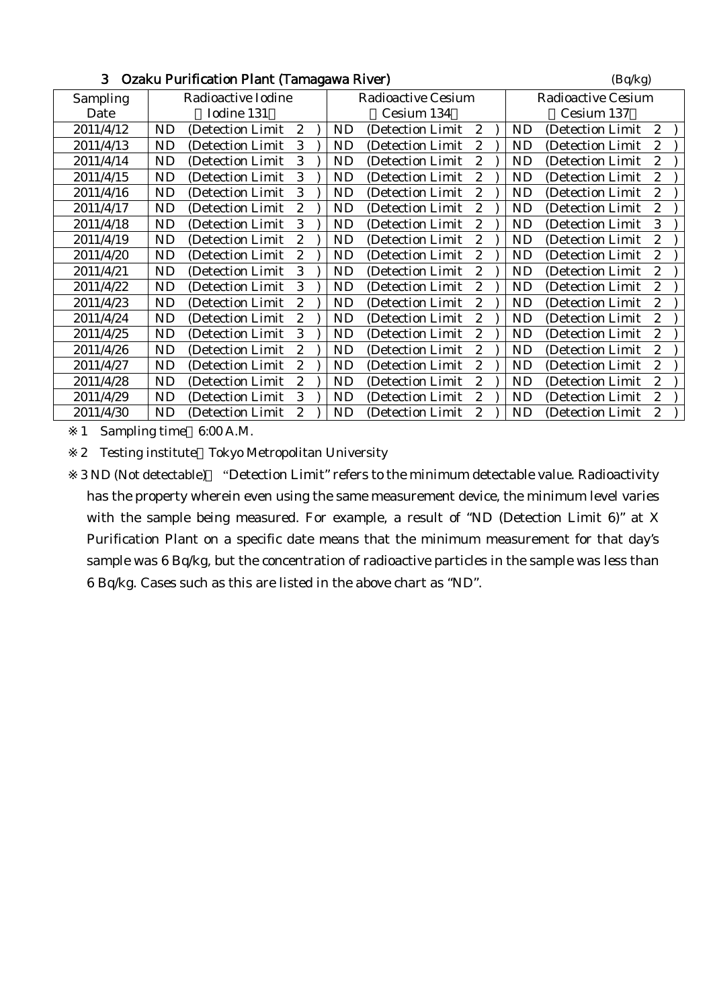| J.<br>Uzaku Purification Piant (Tamagawa River) | (Bq/kg)            |                           |                           |  |  |
|-------------------------------------------------|--------------------|---------------------------|---------------------------|--|--|
| Sampling                                        | Radioactive Iodine | <b>Radioactive Cesium</b> | <b>Radioactive Cesium</b> |  |  |
| Date                                            | Iodine 131         | Cesium 134                | Cesium 137                |  |  |
| 2011/4/12                                       | <b>ND</b>          | (Detection Limit          | <b>ND</b>                 |  |  |
|                                                 | (Detection Limit   | 2                         | (Detection Limit          |  |  |
|                                                 | $\mathbf{2}$       | <b>ND</b>                 | $\mathbf{2}$              |  |  |
| 2011/4/13                                       | <b>ND</b>          | <b>ND</b>                 | <b>ND</b>                 |  |  |
|                                                 | (Detection Limit)  | (Detection Limit)         | $\boldsymbol{2}$          |  |  |
|                                                 | 3                  | 2                         | (Detection Limit          |  |  |
| 2011/4/14                                       | 3                  | 2                         | $\mathbf{2}$              |  |  |
|                                                 | <b>ND</b>          | <b>ND</b>                 | ND                        |  |  |
|                                                 | (Detection Limit   | (Detection Limit)         | (Detection Limit)         |  |  |
| 2011/4/15                                       | <b>ND</b>          | (Detection Limit)         | <b>ND</b>                 |  |  |
|                                                 | 3                  | 2                         | (Detection Limit          |  |  |
|                                                 | (Detection Limit)  | ND                        | 2                         |  |  |
| 2011/4/16                                       | 3                  | <b>ND</b>                 | $\overline{2}$            |  |  |
|                                                 | <b>ND</b>          | 2                         | ND                        |  |  |
|                                                 | (Detection Limit   | (Detection Limit)         | (Detection Limit          |  |  |
| 2011/4/17                                       | <b>ND</b>          | <b>ND</b>                 | <b>ND</b>                 |  |  |
|                                                 | (Detection Limit   | 2                         | $\boldsymbol{2}$          |  |  |
|                                                 | 2                  | (Detection Limit)         | (Detection Limit          |  |  |
| 2011/4/18                                       | 3                  | 2                         | 3                         |  |  |
|                                                 | <b>ND</b>          | ND                        | <b>ND</b>                 |  |  |
|                                                 | (Detection Limit)  | (Detection Limit)         | (Detection Limit)         |  |  |
| 2011/4/19                                       | <b>ND</b>          | $\mathbf{2}$              | <b>ND</b>                 |  |  |
|                                                 | 2                  | <b>ND</b>                 | $\mathbf{2}$              |  |  |
|                                                 | (Detection Limit)  | (Detection Limit)         | (Detection Limit)         |  |  |
| 2011/4/20                                       | <b>ND</b>          | 2                         | ND                        |  |  |
|                                                 | 2                  | ND                        | 2                         |  |  |
|                                                 | (Detection Limit)  | (Detection Limit)         | (Detection Limit          |  |  |
| 2011/4/21                                       | <b>ND</b>          | <b>ND</b>                 | <b>ND</b>                 |  |  |
|                                                 | 3                  | (Detection Limit)         | (Detection Limit          |  |  |
|                                                 | (Detection Limit)  | 2                         | $\boldsymbol{2}$          |  |  |
| 2011/4/22                                       | <b>ND</b>          | 2                         | $\boldsymbol{2}$          |  |  |
|                                                 | 3                  | <b>ND</b>                 | ND                        |  |  |
|                                                 | (Detection Limit)  | (Detection Limit)         | (Detection Limit)         |  |  |
| 2011/4/23                                       | 2                  | $\boldsymbol{2}$          | $\boldsymbol{2}$          |  |  |
|                                                 | <b>ND</b>          | <b>ND</b>                 | <b>ND</b>                 |  |  |
|                                                 | (Detection Limit)  | (Detection Limit)         | (Detection Limit          |  |  |
| 2011/4/24                                       | <b>ND</b>          | <b>ND</b>                 | <b>ND</b>                 |  |  |
|                                                 | (Detection Limit   | (Detection Limit)         | (Detection Limit          |  |  |
|                                                 | 2                  | 2                         | $\overline{2}$            |  |  |
| 2011/4/25                                       | 3                  | 2                         | $\boldsymbol{2}$          |  |  |
|                                                 | <b>ND</b>          | ND                        | <b>ND</b>                 |  |  |
|                                                 | (Detection Limit)  | (Detection Limit)         | (Detection Limit)         |  |  |
| 2011/4/26                                       | <b>ND</b>          | <b>ND</b>                 | $\mathbf{2}$              |  |  |
|                                                 | (Detection Limit)  | (Detection Limit)         | ND                        |  |  |
|                                                 | 2                  | $\mathbf{2}$              | (Detection Limit)         |  |  |
| 2011/4/27                                       | <b>ND</b>          | $\boldsymbol{2}$          | $\boldsymbol{2}$          |  |  |
|                                                 | $\overline{c}$     | <b>ND</b>                 | <b>ND</b>                 |  |  |
|                                                 | (Detection Limit)  | (Detection Limit)         | (Detection Limit          |  |  |
| 2011/4/28                                       | <b>ND</b>          | <b>ND</b>                 | ND                        |  |  |
|                                                 | 2                  | (Detection Limit)         | 2                         |  |  |
|                                                 | (Detection Limit   | 2                         | (Detection Limit)         |  |  |
| 2011/4/29                                       | <b>ND</b>          | 2                         | $\boldsymbol{2}$          |  |  |
|                                                 | (Detection Limit   | <b>ND</b>                 | ND                        |  |  |
|                                                 | 3                  | (Detection Limit)         | (Detection Limit)         |  |  |
| 2011/4/30                                       | <b>ND</b>          | <b>ND</b>                 | $\overline{2}$            |  |  |
|                                                 | 2                  | 2                         | <b>ND</b>                 |  |  |
|                                                 | (Detection Limit)  | (Detection Limit          | (Detection Limit          |  |  |

 $\mathbf{D}_{\text{c}}$  Osakion Plant (Tamagawa River) (Bq/kg)

1 Sampling time 6:00 A.M.

2 Testing institute Tokyo Metropolitan University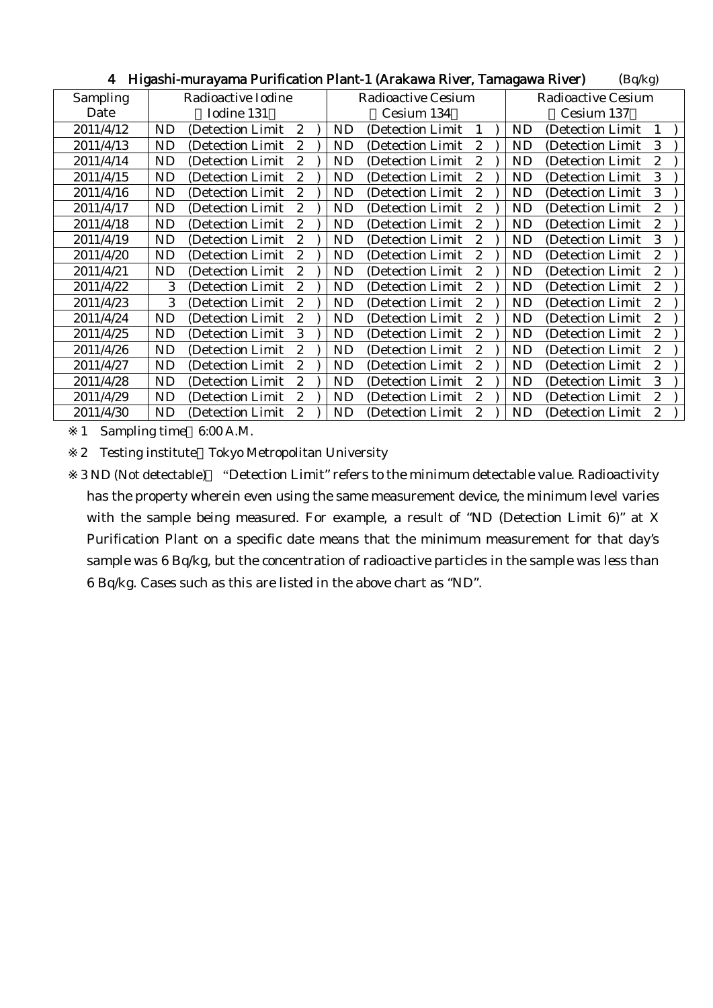| 4<br>-rigashi-murayama Purincauon Piant-1 (Arakawa River, Tamagawa River)<br>(Bq/Kg) |                                                    |                           |                                          |  |  |  |
|--------------------------------------------------------------------------------------|----------------------------------------------------|---------------------------|------------------------------------------|--|--|--|
| Sampling                                                                             | Radioactive Iodine                                 | <b>Radioactive Cesium</b> | Radioactive Cesium                       |  |  |  |
| Date                                                                                 | Iodine 131                                         | Cesium 134                | Cesium 137                               |  |  |  |
| 2011/4/12                                                                            | <b>ND</b><br>(Detection Limit)<br>$\boldsymbol{2}$ | ND<br>(Detection Limit)   | ND.<br>(Detection Limit)<br>$\mathbf{1}$ |  |  |  |
| 2011/4/13                                                                            | ND                                                 | <b>ND</b>                 | ND                                       |  |  |  |
|                                                                                      | (Detection Limit)                                  | (Detection Limit)         | (Detection Limit)                        |  |  |  |
|                                                                                      | 2                                                  | 2                         | 3                                        |  |  |  |
| 2011/4/14                                                                            | <b>ND</b>                                          | <b>ND</b>                 | $\mathbf{2}$                             |  |  |  |
|                                                                                      | (Detection Limit)                                  | (Detection Limit)         | <b>ND</b>                                |  |  |  |
|                                                                                      | $\overline{2}$                                     | 2                         | (Detection Limit)                        |  |  |  |
| 2011/4/15                                                                            | (Detection Limit)                                  | <b>ND</b>                 | (Detection Limit                         |  |  |  |
|                                                                                      | ND                                                 | (Detection Limit)         | ND                                       |  |  |  |
|                                                                                      | 2                                                  | 2                         | 3                                        |  |  |  |
| 2011/4/16                                                                            | ND                                                 | ND                        | 3                                        |  |  |  |
|                                                                                      | 2                                                  | 2                         | ND                                       |  |  |  |
|                                                                                      | (Detection Limit)                                  | (Detection Limit)         | (Detection Limit                         |  |  |  |
| 2011/4/17                                                                            | ND                                                 | ND                        | <b>ND</b>                                |  |  |  |
|                                                                                      | (Detection Limit)                                  | (Detection Limit)         | $\boldsymbol{2}$                         |  |  |  |
|                                                                                      | 2                                                  | 2                         | (Detection Limit)                        |  |  |  |
| 2011/4/18                                                                            | <b>ND</b>                                          | ND                        | ND                                       |  |  |  |
|                                                                                      | (Detection Limit)                                  | (Detection Limit)         | (Detection Limit                         |  |  |  |
|                                                                                      | 2                                                  | $\mathbf{2}$              | $\mathbf{2}$                             |  |  |  |
| 2011/4/19                                                                            | <b>ND</b>                                          | ND                        | ND                                       |  |  |  |
|                                                                                      | (Detection Limit)                                  | (Detection Limit)         | (Detection Limit)                        |  |  |  |
|                                                                                      | 2                                                  | $\mathbf{2}$              | 3                                        |  |  |  |
| 2011/4/20                                                                            | <b>ND</b>                                          | <b>ND</b>                 | ND                                       |  |  |  |
|                                                                                      | $\mathbf{2}$                                       | (Detection Limit)         | (Detection Limit)                        |  |  |  |
|                                                                                      | (Detection Limit)                                  | 2                         | 2                                        |  |  |  |
| 2011/4/21                                                                            | <b>ND</b>                                          | ND                        | $\mathbf{2}$                             |  |  |  |
|                                                                                      | (Detection Limit)                                  | (Detection Limit)         | ND.                                      |  |  |  |
|                                                                                      | 2                                                  | 2                         | (Detection Limit                         |  |  |  |
| 2011/4/22                                                                            | 3                                                  | <b>ND</b>                 | $\boldsymbol{2}$                         |  |  |  |
|                                                                                      | (Detection Limit)                                  | (Detection Limit)         | ND                                       |  |  |  |
|                                                                                      | $\overline{2}$                                     | 2                         | (Detection Limit)                        |  |  |  |
| 2011/4/23                                                                            | 3                                                  | $\boldsymbol{2}$          | $\boldsymbol{2}$                         |  |  |  |
|                                                                                      | 2                                                  | ND                        | ND                                       |  |  |  |
|                                                                                      | (Detection Limit)                                  | (Detection Limit)         | (Detection Limit                         |  |  |  |
| 2011/4/24                                                                            | <b>ND</b>                                          | ND                        | ND                                       |  |  |  |
|                                                                                      | (Detection Limit)                                  | (Detection Limit)         | (Detection Limit                         |  |  |  |
|                                                                                      | 2                                                  | 2                         | 2                                        |  |  |  |
| 2011/4/25                                                                            | 3                                                  | ND                        | $\boldsymbol{2}$                         |  |  |  |
|                                                                                      | ND                                                 | (Detection Limit)         | ND                                       |  |  |  |
|                                                                                      | (Detection Limit)                                  | $\mathbf{2}$              | (Detection Limit                         |  |  |  |
| 2011/4/26                                                                            | ND                                                 | ND                        | ND                                       |  |  |  |
|                                                                                      | (Detection Limit)                                  | (Detection Limit)         | (Detection Limit)                        |  |  |  |
|                                                                                      | 2                                                  | $\mathbf{2}$              | $\mathbf{2}$                             |  |  |  |
| 2011/4/27                                                                            | <b>ND</b>                                          | $\boldsymbol{2}$          | <b>ND</b>                                |  |  |  |
|                                                                                      | 2                                                  | <b>ND</b>                 | $\boldsymbol{2}$                         |  |  |  |
|                                                                                      | (Detection Limit                                   | (Detection Limit)         | (Detection Limit                         |  |  |  |
| 2011/4/28                                                                            | ND                                                 | ND                        | 3                                        |  |  |  |
|                                                                                      | (Detection Limit)                                  | (Detection Limit)         | ND.                                      |  |  |  |
|                                                                                      | 2                                                  | $\mathbf{2}$              | (Detection Limit                         |  |  |  |
| 2011/4/29                                                                            | <b>ND</b>                                          | ND                        | $\boldsymbol{2}$                         |  |  |  |
|                                                                                      | (Detection Limit                                   | (Detection Limit)         | ND.                                      |  |  |  |
|                                                                                      | 2                                                  | 2                         | (Detection Limit)                        |  |  |  |
| 2011/4/30                                                                            | <b>ND</b>                                          | <b>ND</b>                 | <b>ND</b>                                |  |  |  |
|                                                                                      | (Detection Limit)                                  | 2                         | $\boldsymbol{2}$                         |  |  |  |
|                                                                                      | $\overline{2}$                                     | (Detection Limit          | (Detection Limit                         |  |  |  |

4 Higashi-murayama Durification Plant-1 (Arakawa Piyer, Tamagawa Piyer) (Bq/kg)

1 Sampling time 6:00 A.M.

2 Testing institute Tokyo Metropolitan University